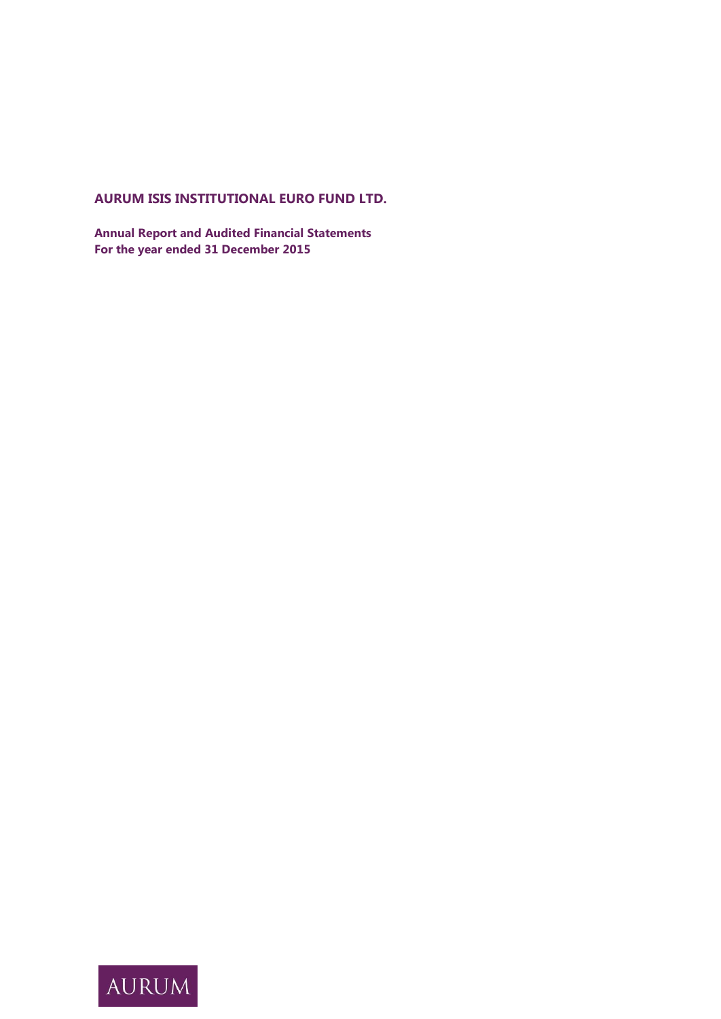# **AURUM ISIS INSTITUTIONAL EURO FUND LTD.**

**Annual Report and Audited Financial Statements For the year ended 31 December 2015**

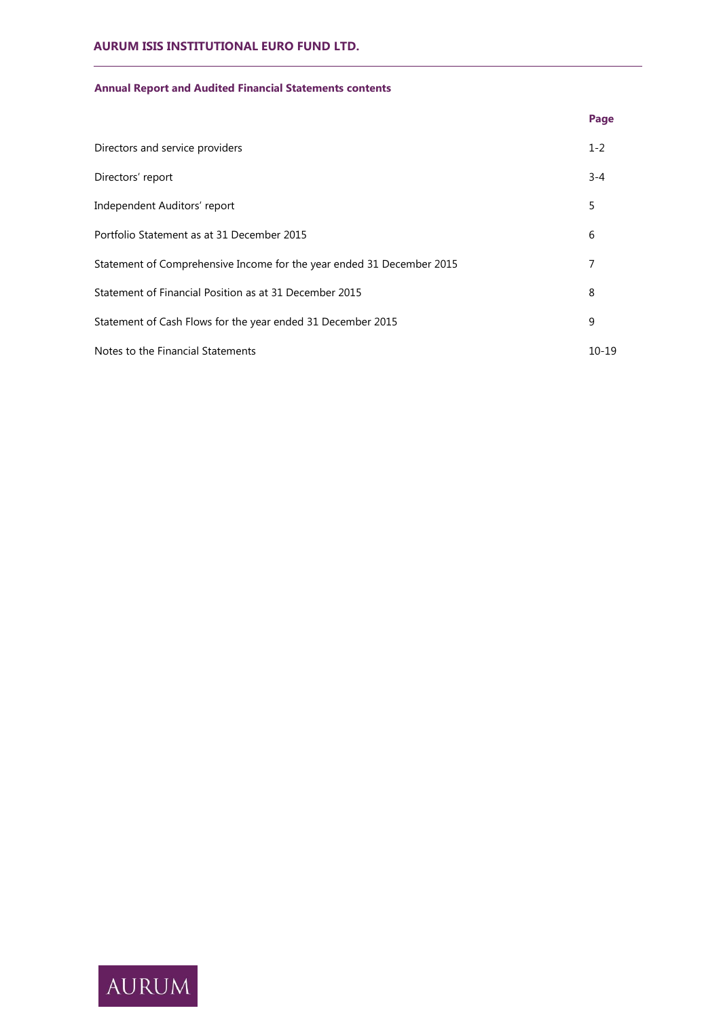# **Annual Report and Audited Financial Statements contents**

|                                                                       | Page      |
|-----------------------------------------------------------------------|-----------|
| Directors and service providers                                       | $1 - 2$   |
| Directors' report                                                     | $3 - 4$   |
| Independent Auditors' report                                          | 5         |
| Portfolio Statement as at 31 December 2015                            | 6         |
| Statement of Comprehensive Income for the year ended 31 December 2015 | 7         |
| Statement of Financial Position as at 31 December 2015                | 8         |
| Statement of Cash Flows for the year ended 31 December 2015           | 9         |
| Notes to the Financial Statements                                     | $10 - 19$ |

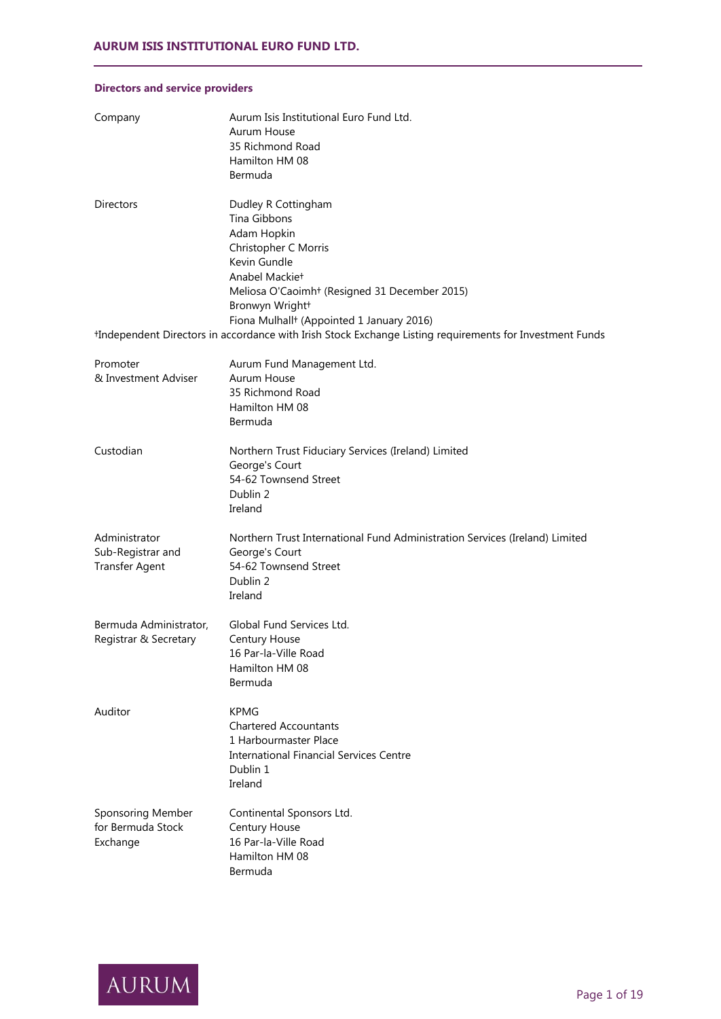| Company                                                     | Aurum Isis Institutional Euro Fund Ltd.<br>Aurum House<br>35 Richmond Road<br>Hamilton HM 08<br>Bermuda                                                                                                                                               |
|-------------------------------------------------------------|-------------------------------------------------------------------------------------------------------------------------------------------------------------------------------------------------------------------------------------------------------|
| Directors                                                   | Dudley R Cottingham<br>Tina Gibbons<br>Adam Hopkin<br>Christopher C Morris<br>Kevin Gundle<br>Anabel Mackiet<br>Meliosa O'Caoimh <sup>+</sup> (Resigned 31 December 2015)<br>Bronwyn Wright+<br>Fiona Mulhall <sup>+</sup> (Appointed 1 January 2016) |
|                                                             | *Independent Directors in accordance with Irish Stock Exchange Listing requirements for Investment Funds                                                                                                                                              |
| Promoter<br>& Investment Adviser                            | Aurum Fund Management Ltd.<br>Aurum House<br>35 Richmond Road<br>Hamilton HM 08<br>Bermuda                                                                                                                                                            |
| Custodian                                                   | Northern Trust Fiduciary Services (Ireland) Limited<br>George's Court<br>54-62 Townsend Street<br>Dublin 2<br>Ireland                                                                                                                                 |
| Administrator<br>Sub-Registrar and<br><b>Transfer Agent</b> | Northern Trust International Fund Administration Services (Ireland) Limited<br>George's Court<br>54-62 Townsend Street<br>Dublin 2<br>Ireland                                                                                                         |
| Bermuda Administrator,<br>Registrar & Secretary             | Global Fund Services Ltd.<br>Century House<br>16 Par-la-Ville Road<br>Hamilton HM 08<br>Bermuda                                                                                                                                                       |
| Auditor                                                     | <b>KPMG</b><br><b>Chartered Accountants</b><br>1 Harbourmaster Place<br><b>International Financial Services Centre</b><br>Dublin 1<br>Ireland                                                                                                         |
| Sponsoring Member<br>for Bermuda Stock<br>Exchange          | Continental Sponsors Ltd.<br>Century House<br>16 Par-la-Ville Road<br>Hamilton HM 08<br>Bermuda                                                                                                                                                       |

# **Directors and service providers**

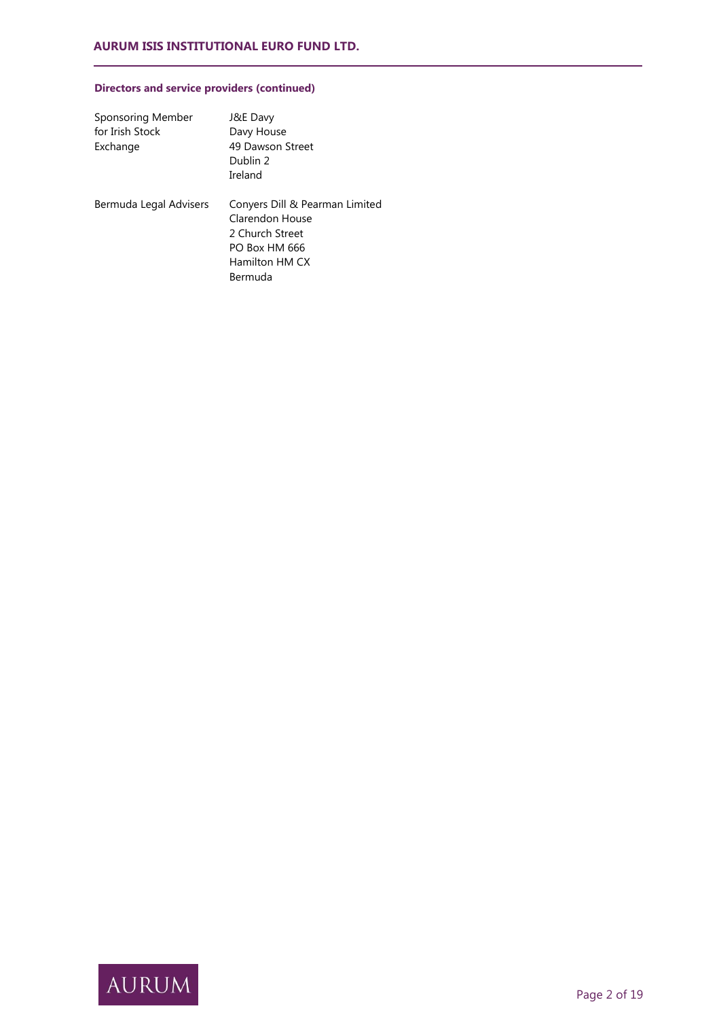# **Directors and service providers (continued)**

| Sponsoring Member<br>for Irish Stock<br>Exchange | J&E Davy<br>Davy House<br>49 Dawson Street<br>Dublin 2                                                             |
|--------------------------------------------------|--------------------------------------------------------------------------------------------------------------------|
|                                                  | Ireland                                                                                                            |
| Bermuda Legal Advisers                           | Conyers Dill & Pearman Limited<br>Clarendon House<br>2 Church Street<br>PO Box HM 666<br>Hamilton HM CX<br>Bermuda |

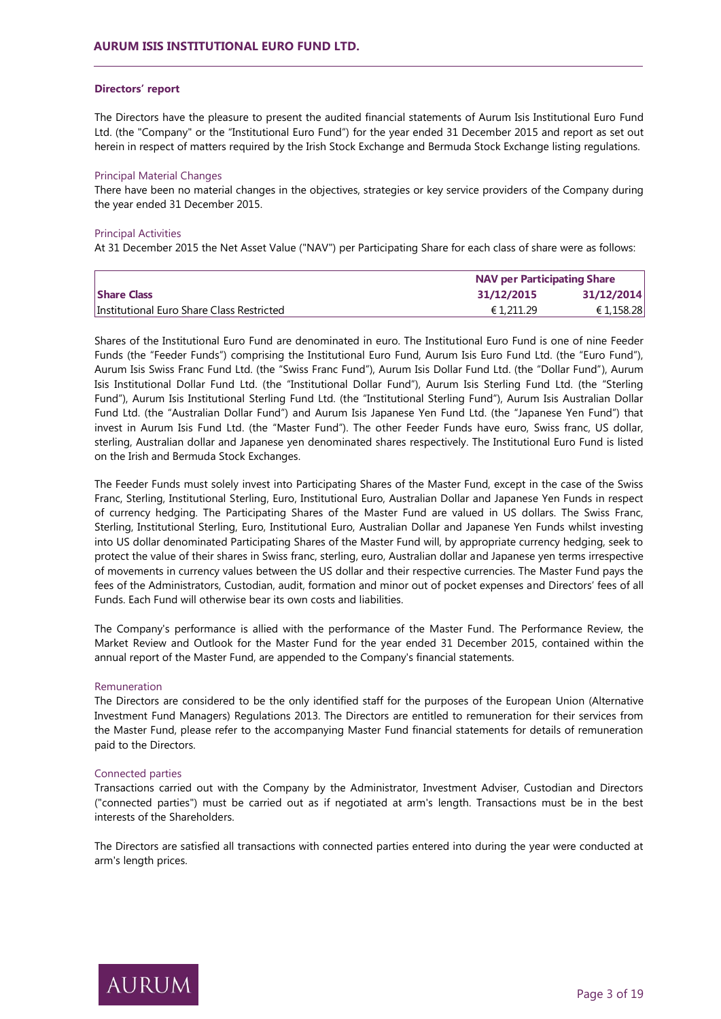## **Directors' report**

The Directors have the pleasure to present the audited financial statements of Aurum Isis Institutional Euro Fund Ltd. (the "Company" or the "Institutional Euro Fund") for the year ended 31 December 2015 and report as set out herein in respect of matters required by the Irish Stock Exchange and Bermuda Stock Exchange listing regulations.

#### Principal Material Changes

There have been no material changes in the objectives, strategies or key service providers of the Company during the year ended 31 December 2015.

#### Principal Activities

At 31 December 2015 the Net Asset Value ("NAV") per Participating Share for each class of share were as follows:

|                                           |            | <b>NAV per Participating Share</b> |  |  |
|-------------------------------------------|------------|------------------------------------|--|--|
| <b>Share Class</b>                        | 31/12/2015 | 31/12/2014                         |  |  |
| Institutional Euro Share Class Restricted | € 1.211.29 | € 1.158.28                         |  |  |

Shares of the Institutional Euro Fund are denominated in euro. The Institutional Euro Fund is one of nine Feeder Funds (the "Feeder Funds") comprising the Institutional Euro Fund, Aurum Isis Euro Fund Ltd. (the "Euro Fund"), Aurum Isis Swiss Franc Fund Ltd. (the "Swiss Franc Fund"), Aurum Isis Dollar Fund Ltd. (the "Dollar Fund"), Aurum Isis Institutional Dollar Fund Ltd. (the "Institutional Dollar Fund"), Aurum Isis Sterling Fund Ltd. (the "Sterling Fund"), Aurum Isis Institutional Sterling Fund Ltd. (the "Institutional Sterling Fund"), Aurum Isis Australian Dollar Fund Ltd. (the "Australian Dollar Fund") and Aurum Isis Japanese Yen Fund Ltd. (the "Japanese Yen Fund") that invest in Aurum Isis Fund Ltd. (the "Master Fund"). The other Feeder Funds have euro, Swiss franc, US dollar, sterling, Australian dollar and Japanese yen denominated shares respectively. The Institutional Euro Fund is listed on the Irish and Bermuda Stock Exchanges.

The Feeder Funds must solely invest into Participating Shares of the Master Fund, except in the case of the Swiss Franc, Sterling, Institutional Sterling, Euro, Institutional Euro, Australian Dollar and Japanese Yen Funds in respect of currency hedging. The Participating Shares of the Master Fund are valued in US dollars. The Swiss Franc, Sterling, Institutional Sterling, Euro, Institutional Euro, Australian Dollar and Japanese Yen Funds whilst investing into US dollar denominated Participating Shares of the Master Fund will, by appropriate currency hedging, seek to protect the value of their shares in Swiss franc, sterling, euro, Australian dollar and Japanese yen terms irrespective of movements in currency values between the US dollar and their respective currencies. The Master Fund pays the fees of the Administrators, Custodian, audit, formation and minor out of pocket expenses and Directors' fees of all Funds. Each Fund will otherwise bear its own costs and liabilities.

The Company's performance is allied with the performance of the Master Fund. The Performance Review, the Market Review and Outlook for the Master Fund for the year ended 31 December 2015, contained within the annual report of the Master Fund, are appended to the Company's financial statements.

#### Remuneration

The Directors are considered to be the only identified staff for the purposes of the European Union (Alternative Investment Fund Managers) Regulations 2013. The Directors are entitled to remuneration for their services from the Master Fund, please refer to the accompanying Master Fund financial statements for details of remuneration paid to the Directors.

#### Connected parties

Transactions carried out with the Company by the Administrator, Investment Adviser, Custodian and Directors ("connected parties") must be carried out as if negotiated at arm's length. Transactions must be in the best interests of the Shareholders.

The Directors are satisfied all transactions with connected parties entered into during the year were conducted at arm's length prices.

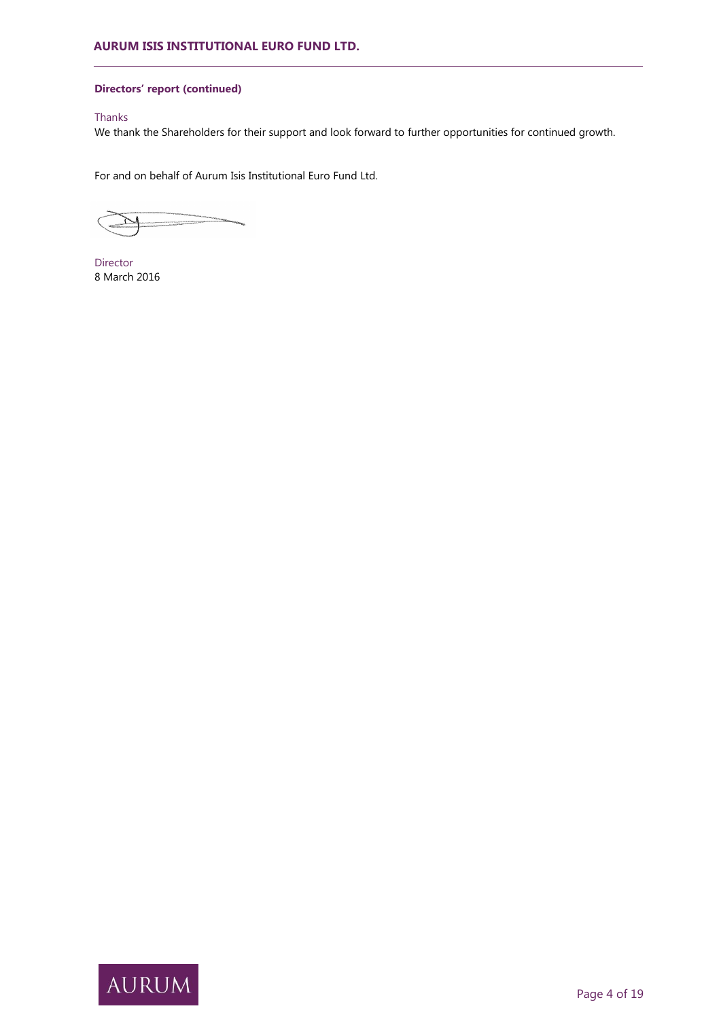# **Directors' report (continued)**

Thanks

We thank the Shareholders for their support and look forward to further opportunities for continued growth.

For and on behalf of Aurum Isis Institutional Euro Fund Ltd.

Director 8 March 2016

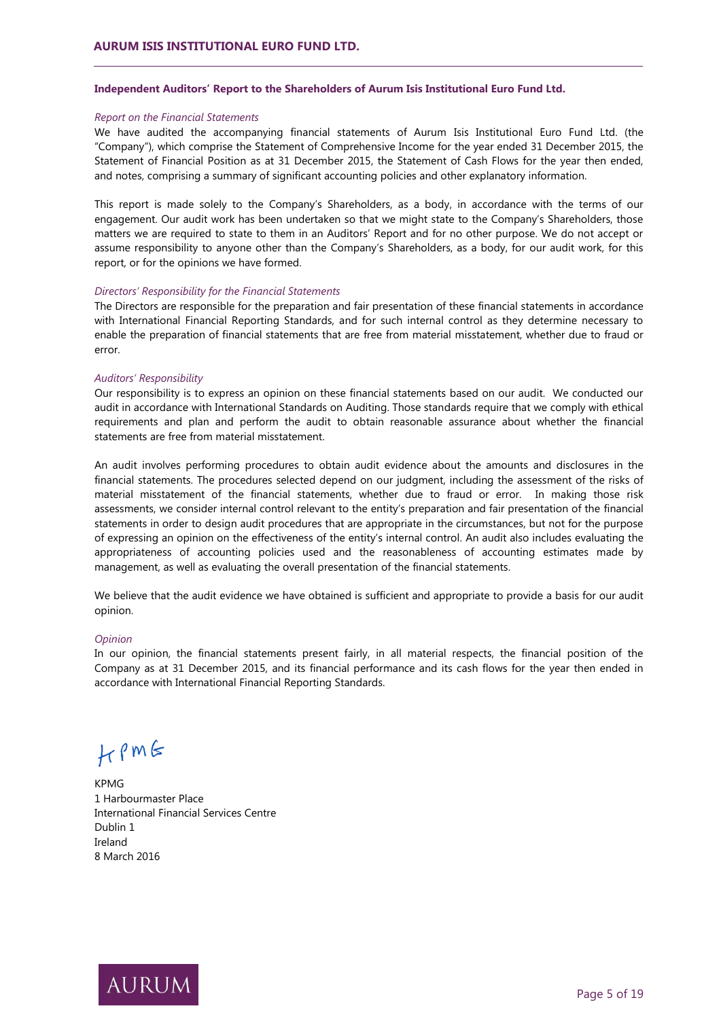# **Independent Auditors' Report to the Shareholders of Aurum Isis Institutional Euro Fund Ltd.**

#### *Report on the Financial Statements*

We have audited the accompanying financial statements of Aurum Isis Institutional Euro Fund Ltd. (the "Company"), which comprise the Statement of Comprehensive Income for the year ended 31 December 2015, the Statement of Financial Position as at 31 December 2015, the Statement of Cash Flows for the year then ended, and notes, comprising a summary of significant accounting policies and other explanatory information.

This report is made solely to the Company's Shareholders, as a body, in accordance with the terms of our engagement. Our audit work has been undertaken so that we might state to the Company's Shareholders, those matters we are required to state to them in an Auditors' Report and for no other purpose. We do not accept or assume responsibility to anyone other than the Company's Shareholders, as a body, for our audit work, for this report, or for the opinions we have formed.

#### *Directors' Responsibility for the Financial Statements*

The Directors are responsible for the preparation and fair presentation of these financial statements in accordance with International Financial Reporting Standards, and for such internal control as they determine necessary to enable the preparation of financial statements that are free from material misstatement, whether due to fraud or error.

#### *Auditors' Responsibility*

Our responsibility is to express an opinion on these financial statements based on our audit. We conducted our audit in accordance with International Standards on Auditing. Those standards require that we comply with ethical requirements and plan and perform the audit to obtain reasonable assurance about whether the financial statements are free from material misstatement.

An audit involves performing procedures to obtain audit evidence about the amounts and disclosures in the financial statements. The procedures selected depend on our judgment, including the assessment of the risks of material misstatement of the financial statements, whether due to fraud or error. In making those risk assessments, we consider internal control relevant to the entity's preparation and fair presentation of the financial statements in order to design audit procedures that are appropriate in the circumstances, but not for the purpose of expressing an opinion on the effectiveness of the entity's internal control. An audit also includes evaluating the appropriateness of accounting policies used and the reasonableness of accounting estimates made by management, as well as evaluating the overall presentation of the financial statements.

We believe that the audit evidence we have obtained is sufficient and appropriate to provide a basis for our audit opinion.

#### *Opinion*

In our opinion, the financial statements present fairly, in all material respects, the financial position of the Company as at 31 December 2015, and its financial performance and its cash flows for the year then ended in accordance with International Financial Reporting Standards.

 $H$   $\rho$  m  $6$ 

KPMG 1 Harbourmaster Place International Financial Services Centre Dublin 1 Ireland 8 March 2016

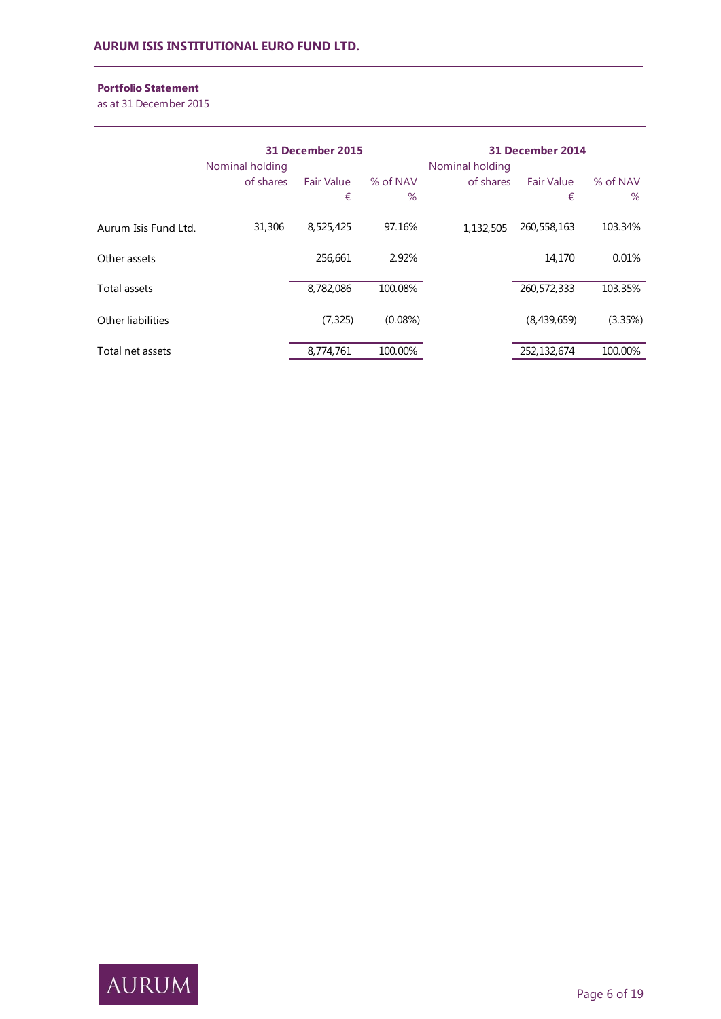# **Portfolio Statement**

as at 31 December 2015

|                      |                 | 31 December 2015       |                  |                 | 31 December 2014       |                  |
|----------------------|-----------------|------------------------|------------------|-----------------|------------------------|------------------|
|                      | Nominal holding |                        |                  | Nominal holding |                        |                  |
|                      | of shares       | <b>Fair Value</b><br>€ | % of NAV<br>$\%$ | of shares       | <b>Fair Value</b><br>€ | % of NAV<br>$\%$ |
| Aurum Isis Fund Ltd. | 31,306          | 8,525,425              | 97.16%           | 1,132,505       | 260, 558, 163          | 103.34%          |
| Other assets         |                 | 256.661                | 2.92%            |                 | 14.170                 | 0.01%            |
| Total assets         |                 | 8,782,086              | 100.08%          |                 | 260, 572, 333          | 103.35%          |
| Other liabilities    |                 | (7, 325)               | $(0.08\%)$       |                 | (8,439,659)            | (3.35%)          |
| Total net assets     |                 | 8.774.761              | 100.00%          |                 | 252,132,674            | 100.00%          |

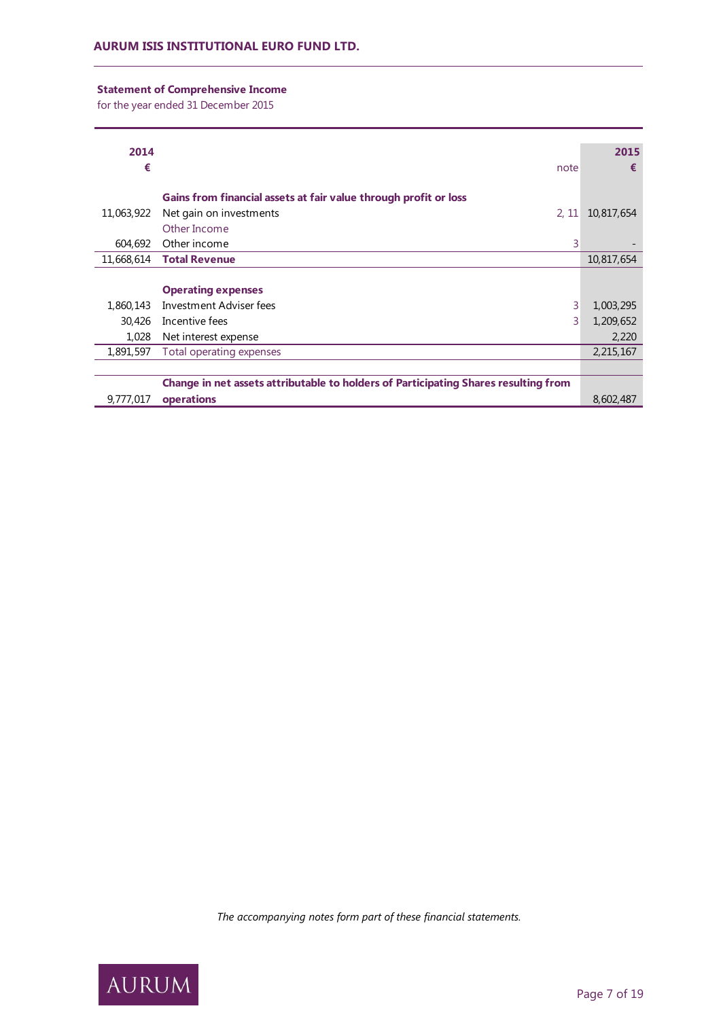# **Statement of Comprehensive Income**

for the year ended 31 December 2015

| 2014       |                                                                                     | 2015       |
|------------|-------------------------------------------------------------------------------------|------------|
| €          | note                                                                                | €          |
|            |                                                                                     |            |
|            | Gains from financial assets at fair value through profit or loss                    |            |
| 11,063,922 | Net gain on investments<br>2, 11                                                    | 10,817,654 |
|            | Other Income                                                                        |            |
| 604,692    | Other income<br>3                                                                   |            |
| 11,668,614 | <b>Total Revenue</b>                                                                | 10,817,654 |
|            |                                                                                     |            |
|            | <b>Operating expenses</b>                                                           |            |
| 1,860,143  | Investment Adviser fees<br>3                                                        | 1,003,295  |
| 30.426     | 3<br>Incentive fees                                                                 | 1,209,652  |
| 1,028      | Net interest expense                                                                | 2,220      |
| 1,891,597  | Total operating expenses                                                            | 2,215,167  |
|            |                                                                                     |            |
|            | Change in net assets attributable to holders of Participating Shares resulting from |            |
| 9,777,017  | operations                                                                          | 8,602,487  |

*The accompanying notes form part of these financial statements.*

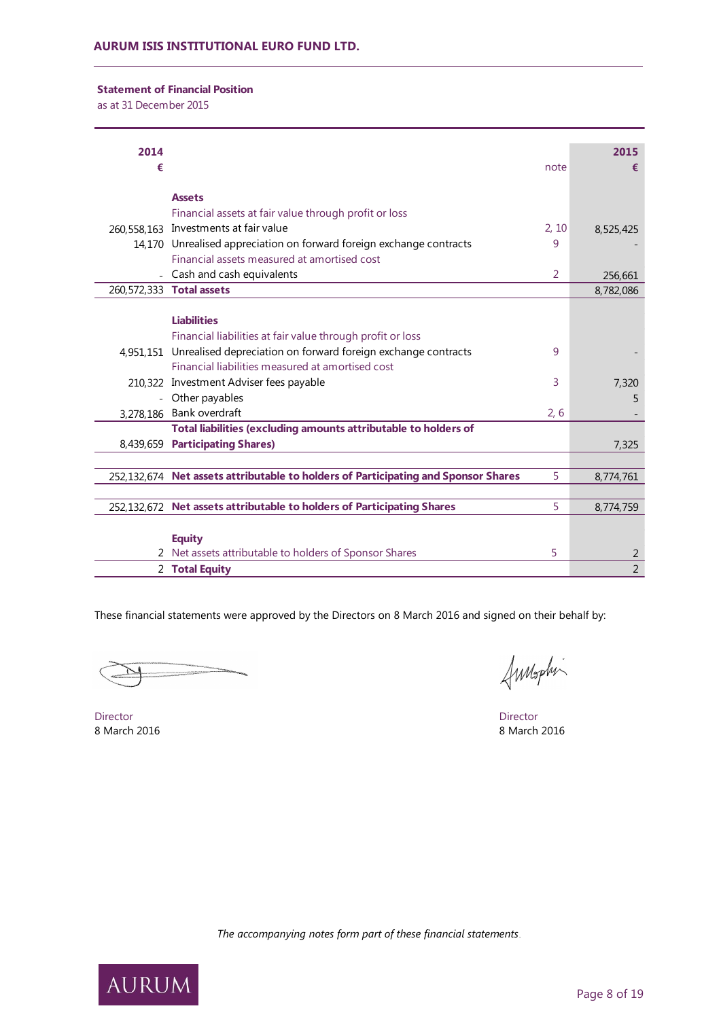# **Statement of Financial Position**

as at 31 December 2015

| 2014 |                                                                                    |       | 2015           |
|------|------------------------------------------------------------------------------------|-------|----------------|
| €    |                                                                                    | note  | €              |
|      | <b>Assets</b>                                                                      |       |                |
|      | Financial assets at fair value through profit or loss                              |       |                |
|      | 260,558,163 Investments at fair value                                              | 2, 10 | 8,525,425      |
|      | 14,170 Unrealised appreciation on forward foreign exchange contracts               | 9     |                |
|      | Financial assets measured at amortised cost                                        |       |                |
|      | - Cash and cash equivalents                                                        | 2     | 256,661        |
|      | 260.572.333 Total assets                                                           |       | 8,782,086      |
|      |                                                                                    |       |                |
|      | <b>Liabilities</b>                                                                 |       |                |
|      | Financial liabilities at fair value through profit or loss                         |       |                |
|      | 4,951,151 Unrealised depreciation on forward foreign exchange contracts            | 9     |                |
|      | Financial liabilities measured at amortised cost                                   |       |                |
|      | 210,322 Investment Adviser fees payable                                            | 3     | 7,320          |
|      | Other payables                                                                     |       | 5              |
|      | 3,278,186 Bank overdraft                                                           | 2, 6  |                |
|      | Total liabilities (excluding amounts attributable to holders of                    |       |                |
|      | 8,439,659 Participating Shares)                                                    |       | 7,325          |
|      |                                                                                    |       |                |
|      | 252,132,674 Net assets attributable to holders of Participating and Sponsor Shares | 5     | 8,774,761      |
|      |                                                                                    |       |                |
|      | 252,132,672 Net assets attributable to holders of Participating Shares             | 5     | 8,774,759      |
|      |                                                                                    |       |                |
|      | <b>Equity</b>                                                                      |       |                |
|      | 2 Net assets attributable to holders of Sponsor Shares                             | 5     | 2              |
|      | 2 Total Equity                                                                     |       | $\overline{2}$ |

These financial statements were approved by the Directors on 8 March 2016 and signed on their behalf by:

Director Director 8 March 2016 8 March 2016

Annophi

*The accompanying notes form part of these financial statements.*

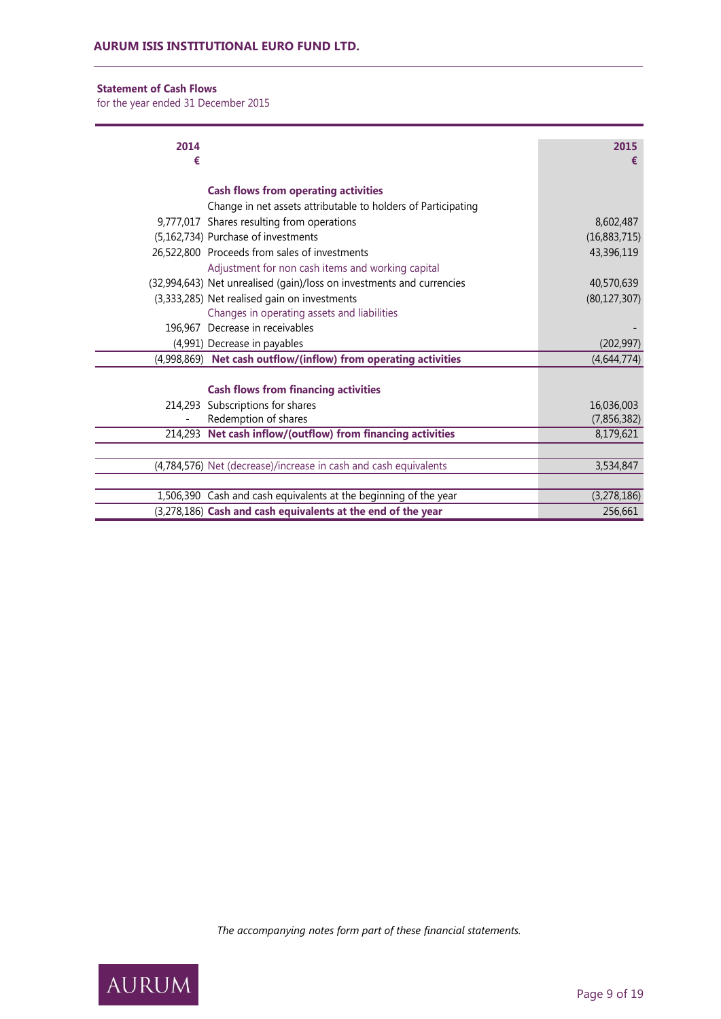# **Statement of Cash Flows**

for the year ended 31 December 2015

| 2014 |                                                                       | 2015           |
|------|-----------------------------------------------------------------------|----------------|
| €    |                                                                       | €              |
|      |                                                                       |                |
|      | <b>Cash flows from operating activities</b>                           |                |
|      | Change in net assets attributable to holders of Participating         |                |
|      | 9,777,017 Shares resulting from operations                            | 8,602,487      |
|      | (5,162,734) Purchase of investments                                   | (16,883,715)   |
|      | 26,522,800 Proceeds from sales of investments                         | 43,396,119     |
|      | Adjustment for non cash items and working capital                     |                |
|      | (32,994,643) Net unrealised (gain)/loss on investments and currencies | 40,570,639     |
|      | (3,333,285) Net realised gain on investments                          | (80, 127, 307) |
|      | Changes in operating assets and liabilities                           |                |
|      | 196,967 Decrease in receivables                                       |                |
|      | (4,991) Decrease in payables                                          | (202, 997)     |
|      | (4,998,869) Net cash outflow/(inflow) from operating activities       | (4,644,774)    |
|      |                                                                       |                |
|      | <b>Cash flows from financing activities</b>                           |                |
|      | 214,293 Subscriptions for shares                                      | 16,036,003     |
|      | Redemption of shares                                                  | (7,856,382)    |
|      | 214,293 Net cash inflow/(outflow) from financing activities           | 8,179,621      |
|      |                                                                       |                |
|      | (4,784,576) Net (decrease)/increase in cash and cash equivalents      | 3,534,847      |
|      |                                                                       |                |
|      | 1,506,390 Cash and cash equivalents at the beginning of the year      | (3,278,186)    |
|      | (3,278,186) Cash and cash equivalents at the end of the year          | 256,661        |

*The accompanying notes form part of these financial statements.*

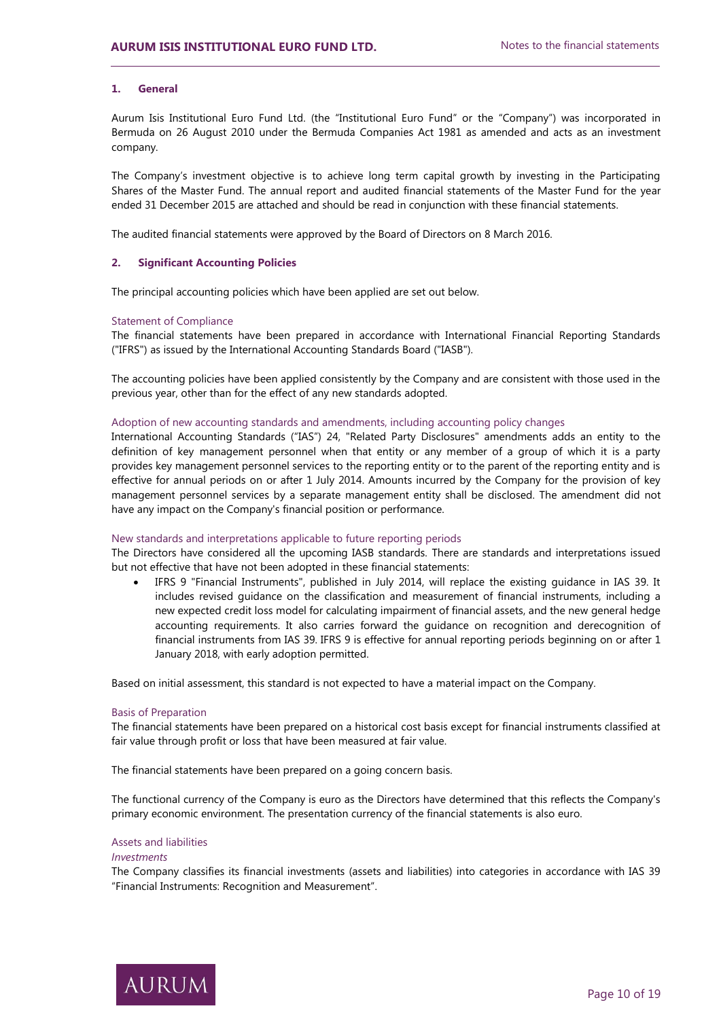# **1. General**

Aurum Isis Institutional Euro Fund Ltd. (the "Institutional Euro Fund" or the "Company") was incorporated in Bermuda on 26 August 2010 under the Bermuda Companies Act 1981 as amended and acts as an investment company.

The Company's investment objective is to achieve long term capital growth by investing in the Participating Shares of the Master Fund. The annual report and audited financial statements of the Master Fund for the year ended 31 December 2015 are attached and should be read in conjunction with these financial statements.

The audited financial statements were approved by the Board of Directors on 8 March 2016.

# **2. Significant Accounting Policies**

The principal accounting policies which have been applied are set out below.

# Statement of Compliance

The financial statements have been prepared in accordance with International Financial Reporting Standards ("IFRS") as issued by the International Accounting Standards Board ("IASB").

The accounting policies have been applied consistently by the Company and are consistent with those used in the previous year, other than for the effect of any new standards adopted.

#### Adoption of new accounting standards and amendments, including accounting policy changes

International Accounting Standards ("IAS") 24, "Related Party Disclosures" amendments adds an entity to the definition of key management personnel when that entity or any member of a group of which it is a party provides key management personnel services to the reporting entity or to the parent of the reporting entity and is effective for annual periods on or after 1 July 2014. Amounts incurred by the Company for the provision of key management personnel services by a separate management entity shall be disclosed. The amendment did not have any impact on the Company's financial position or performance.

#### New standards and interpretations applicable to future reporting periods

The Directors have considered all the upcoming IASB standards. There are standards and interpretations issued but not effective that have not been adopted in these financial statements:

 IFRS 9 "Financial Instruments", published in July 2014, will replace the existing guidance in IAS 39. It includes revised guidance on the classification and measurement of financial instruments, including a new expected credit loss model for calculating impairment of financial assets, and the new general hedge accounting requirements. It also carries forward the guidance on recognition and derecognition of financial instruments from IAS 39. IFRS 9 is effective for annual reporting periods beginning on or after 1 January 2018, with early adoption permitted.

Based on initial assessment, this standard is not expected to have a material impact on the Company.

#### Basis of Preparation

The financial statements have been prepared on a historical cost basis except for financial instruments classified at fair value through profit or loss that have been measured at fair value.

The financial statements have been prepared on a going concern basis.

The functional currency of the Company is euro as the Directors have determined that this reflects the Company's primary economic environment. The presentation currency of the financial statements is also euro.

## Assets and liabilities

#### *Investments*

The Company classifies its financial investments (assets and liabilities) into categories in accordance with IAS 39 "Financial Instruments: Recognition and Measurement".

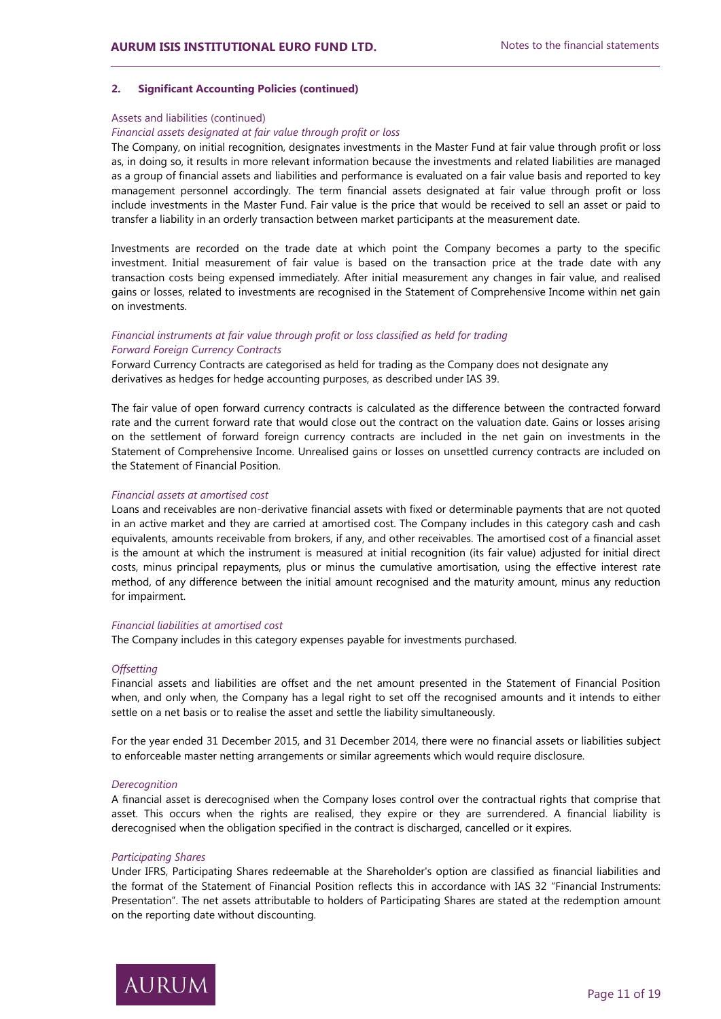## **2. Significant Accounting Policies (continued)**

#### Assets and liabilities (continued)

#### *Financial assets designated at fair value through profit or loss*

The Company, on initial recognition, designates investments in the Master Fund at fair value through profit or loss as, in doing so, it results in more relevant information because the investments and related liabilities are managed as a group of financial assets and liabilities and performance is evaluated on a fair value basis and reported to key management personnel accordingly. The term financial assets designated at fair value through profit or loss include investments in the Master Fund. Fair value is the price that would be received to sell an asset or paid to transfer a liability in an orderly transaction between market participants at the measurement date.

Investments are recorded on the trade date at which point the Company becomes a party to the specific investment. Initial measurement of fair value is based on the transaction price at the trade date with any transaction costs being expensed immediately. After initial measurement any changes in fair value, and realised gains or losses, related to investments are recognised in the Statement of Comprehensive Income within net gain on investments.

# *Financial instruments at fair value through profit or loss classified as held for trading Forward Foreign Currency Contracts*

Forward Currency Contracts are categorised as held for trading as the Company does not designate any derivatives as hedges for hedge accounting purposes, as described under IAS 39.

The fair value of open forward currency contracts is calculated as the difference between the contracted forward rate and the current forward rate that would close out the contract on the valuation date. Gains or losses arising on the settlement of forward foreign currency contracts are included in the net gain on investments in the Statement of Comprehensive Income. Unrealised gains or losses on unsettled currency contracts are included on the Statement of Financial Position.

#### *Financial assets at amortised cost*

Loans and receivables are non-derivative financial assets with fixed or determinable payments that are not quoted in an active market and they are carried at amortised cost. The Company includes in this category cash and cash equivalents, amounts receivable from brokers, if any, and other receivables. The amortised cost of a financial asset is the amount at which the instrument is measured at initial recognition (its fair value) adjusted for initial direct costs, minus principal repayments, plus or minus the cumulative amortisation, using the effective interest rate method, of any difference between the initial amount recognised and the maturity amount, minus any reduction for impairment.

#### *Financial liabilities at amortised cost*

The Company includes in this category expenses payable for investments purchased.

# *Offsetting*

Financial assets and liabilities are offset and the net amount presented in the Statement of Financial Position when, and only when, the Company has a legal right to set off the recognised amounts and it intends to either settle on a net basis or to realise the asset and settle the liability simultaneously.

For the year ended 31 December 2015, and 31 December 2014, there were no financial assets or liabilities subject to enforceable master netting arrangements or similar agreements which would require disclosure.

#### *Derecognition*

A financial asset is derecognised when the Company loses control over the contractual rights that comprise that asset. This occurs when the rights are realised, they expire or they are surrendered. A financial liability is derecognised when the obligation specified in the contract is discharged, cancelled or it expires.

#### *Participating Shares*

Under IFRS, Participating Shares redeemable at the Shareholder's option are classified as financial liabilities and the format of the Statement of Financial Position reflects this in accordance with IAS 32 "Financial Instruments: Presentation". The net assets attributable to holders of Participating Shares are stated at the redemption amount on the reporting date without discounting.

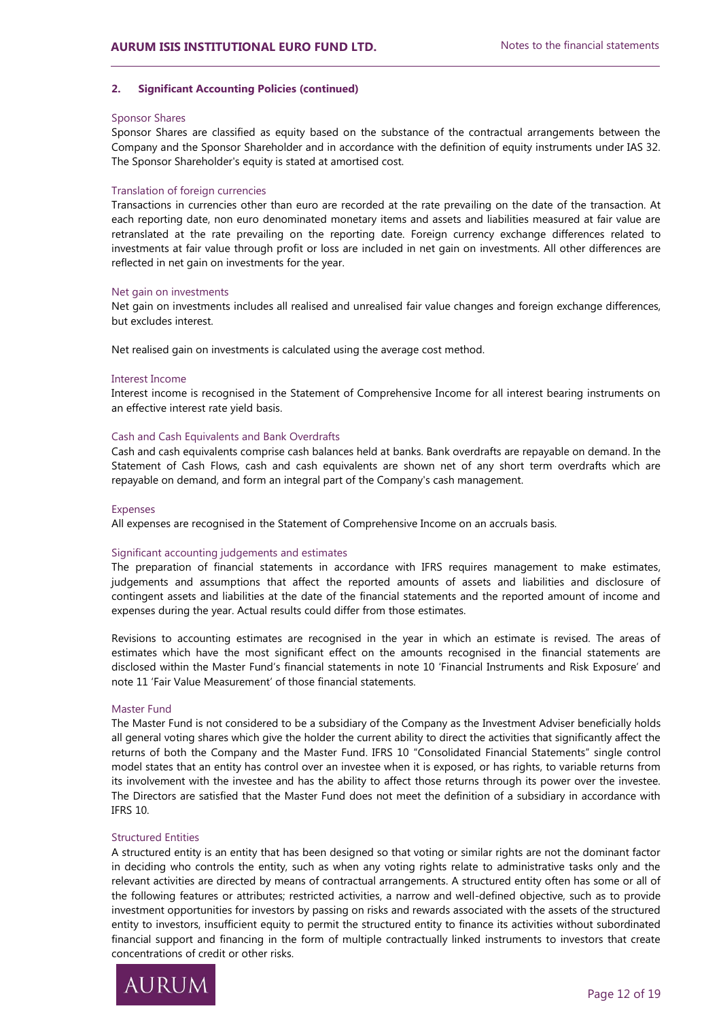## **2. Significant Accounting Policies (continued)**

#### Sponsor Shares

Sponsor Shares are classified as equity based on the substance of the contractual arrangements between the Company and the Sponsor Shareholder and in accordance with the definition of equity instruments under IAS 32. The Sponsor Shareholder's equity is stated at amortised cost.

#### Translation of foreign currencies

Transactions in currencies other than euro are recorded at the rate prevailing on the date of the transaction. At each reporting date, non euro denominated monetary items and assets and liabilities measured at fair value are retranslated at the rate prevailing on the reporting date. Foreign currency exchange differences related to investments at fair value through profit or loss are included in net gain on investments. All other differences are reflected in net gain on investments for the year.

#### Net gain on investments

Net gain on investments includes all realised and unrealised fair value changes and foreign exchange differences, but excludes interest.

Net realised gain on investments is calculated using the average cost method.

#### Interest Income

Interest income is recognised in the Statement of Comprehensive Income for all interest bearing instruments on an effective interest rate yield basis.

#### Cash and Cash Equivalents and Bank Overdrafts

Cash and cash equivalents comprise cash balances held at banks. Bank overdrafts are repayable on demand. In the Statement of Cash Flows, cash and cash equivalents are shown net of any short term overdrafts which are repayable on demand, and form an integral part of the Company's cash management.

#### Expenses

All expenses are recognised in the Statement of Comprehensive Income on an accruals basis.

#### Significant accounting judgements and estimates

The preparation of financial statements in accordance with IFRS requires management to make estimates, judgements and assumptions that affect the reported amounts of assets and liabilities and disclosure of contingent assets and liabilities at the date of the financial statements and the reported amount of income and expenses during the year. Actual results could differ from those estimates.

Revisions to accounting estimates are recognised in the year in which an estimate is revised. The areas of estimates which have the most significant effect on the amounts recognised in the financial statements are disclosed within the Master Fund's financial statements in note 10 'Financial Instruments and Risk Exposure' and note 11 'Fair Value Measurement' of those financial statements.

#### Master Fund

The Master Fund is not considered to be a subsidiary of the Company as the Investment Adviser beneficially holds all general voting shares which give the holder the current ability to direct the activities that significantly affect the returns of both the Company and the Master Fund. IFRS 10 "Consolidated Financial Statements" single control model states that an entity has control over an investee when it is exposed, or has rights, to variable returns from its involvement with the investee and has the ability to affect those returns through its power over the investee. The Directors are satisfied that the Master Fund does not meet the definition of a subsidiary in accordance with IFRS 10.

## Structured Entities

A structured entity is an entity that has been designed so that voting or similar rights are not the dominant factor in deciding who controls the entity, such as when any voting rights relate to administrative tasks only and the relevant activities are directed by means of contractual arrangements. A structured entity often has some or all of the following features or attributes; restricted activities, a narrow and well-defined objective, such as to provide investment opportunities for investors by passing on risks and rewards associated with the assets of the structured entity to investors, insufficient equity to permit the structured entity to finance its activities without subordinated financial support and financing in the form of multiple contractually linked instruments to investors that create concentrations of credit or other risks.

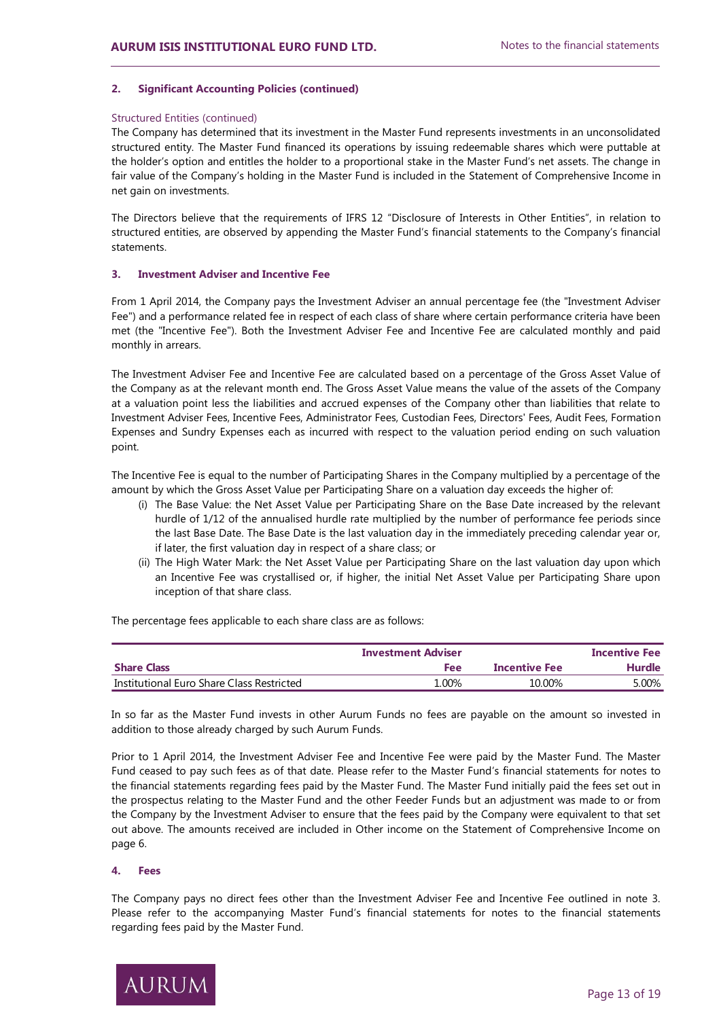# **2. Significant Accounting Policies (continued)**

# Structured Entities (continued)

The Company has determined that its investment in the Master Fund represents investments in an unconsolidated structured entity. The Master Fund financed its operations by issuing redeemable shares which were puttable at the holder's option and entitles the holder to a proportional stake in the Master Fund's net assets. The change in fair value of the Company's holding in the Master Fund is included in the Statement of Comprehensive Income in net gain on investments.

The Directors believe that the requirements of IFRS 12 "Disclosure of Interests in Other Entities", in relation to structured entities, are observed by appending the Master Fund's financial statements to the Company's financial statements.

# **3. Investment Adviser and Incentive Fee**

From 1 April 2014, the Company pays the Investment Adviser an annual percentage fee (the "Investment Adviser Fee") and a performance related fee in respect of each class of share where certain performance criteria have been met (the "Incentive Fee"). Both the Investment Adviser Fee and Incentive Fee are calculated monthly and paid monthly in arrears.

The Investment Adviser Fee and Incentive Fee are calculated based on a percentage of the Gross Asset Value of the Company as at the relevant month end. The Gross Asset Value means the value of the assets of the Company at a valuation point less the liabilities and accrued expenses of the Company other than liabilities that relate to Investment Adviser Fees, Incentive Fees, Administrator Fees, Custodian Fees, Directors' Fees, Audit Fees, Formation Expenses and Sundry Expenses each as incurred with respect to the valuation period ending on such valuation point.

The Incentive Fee is equal to the number of Participating Shares in the Company multiplied by a percentage of the amount by which the Gross Asset Value per Participating Share on a valuation day exceeds the higher of:

- (i) The Base Value: the Net Asset Value per Participating Share on the Base Date increased by the relevant hurdle of 1/12 of the annualised hurdle rate multiplied by the number of performance fee periods since the last Base Date. The Base Date is the last valuation day in the immediately preceding calendar year or, if later, the first valuation day in respect of a share class; or
- (ii) The High Water Mark: the Net Asset Value per Participating Share on the last valuation day upon which an Incentive Fee was crystallised or, if higher, the initial Net Asset Value per Participating Share upon inception of that share class.

The percentage fees applicable to each share class are as follows:

|                                           | <b>Investment Adviser</b> |               | <b>Incentive Fee</b> |
|-------------------------------------------|---------------------------|---------------|----------------------|
| <b>Share Class</b>                        | Fee                       | Incentive Fee | Hurdle               |
| Institutional Euro Share Class Restricted | 1.00%                     | 10.00%        | 5.00%                |

In so far as the Master Fund invests in other Aurum Funds no fees are payable on the amount so invested in addition to those already charged by such Aurum Funds.

Prior to 1 April 2014, the Investment Adviser Fee and Incentive Fee were paid by the Master Fund. The Master Fund ceased to pay such fees as of that date. Please refer to the Master Fund's financial statements for notes to the financial statements regarding fees paid by the Master Fund. The Master Fund initially paid the fees set out in the prospectus relating to the Master Fund and the other Feeder Funds but an adjustment was made to or from the Company by the Investment Adviser to ensure that the fees paid by the Company were equivalent to that set out above. The amounts received are included in Other income on the Statement of Comprehensive Income on page 6.

# **4. Fees**

The Company pays no direct fees other than the Investment Adviser Fee and Incentive Fee outlined in note 3. Please refer to the accompanying Master Fund's financial statements for notes to the financial statements regarding fees paid by the Master Fund.

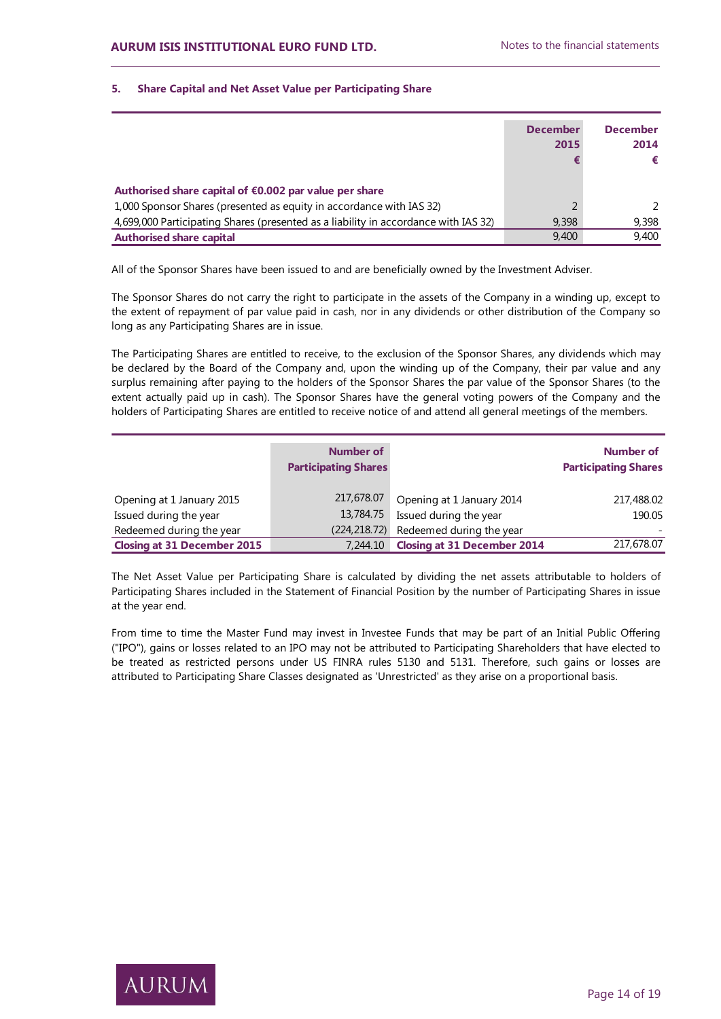# **5. Share Capital and Net Asset Value per Participating Share**

|                                                                                     | <b>December</b><br>2015 | <b>December</b><br>2014<br>€ |
|-------------------------------------------------------------------------------------|-------------------------|------------------------------|
| Authorised share capital of €0.002 par value per share                              |                         |                              |
| 1,000 Sponsor Shares (presented as equity in accordance with IAS 32)                |                         |                              |
| 4,699,000 Participating Shares (presented as a liability in accordance with IAS 32) | 9,398                   | 9,398                        |
| <b>Authorised share capital</b>                                                     | 9,400                   | 9,400                        |

All of the Sponsor Shares have been issued to and are beneficially owned by the Investment Adviser.

The Sponsor Shares do not carry the right to participate in the assets of the Company in a winding up, except to the extent of repayment of par value paid in cash, nor in any dividends or other distribution of the Company so long as any Participating Shares are in issue.

The Participating Shares are entitled to receive, to the exclusion of the Sponsor Shares, any dividends which may be declared by the Board of the Company and, upon the winding up of the Company, their par value and any surplus remaining after paying to the holders of the Sponsor Shares the par value of the Sponsor Shares (to the extent actually paid up in cash). The Sponsor Shares have the general voting powers of the Company and the holders of Participating Shares are entitled to receive notice of and attend all general meetings of the members.

|                                    | <b>Number of</b><br><b>Participating Shares</b> |                                    | Number of<br><b>Participating Shares</b> |
|------------------------------------|-------------------------------------------------|------------------------------------|------------------------------------------|
| Opening at 1 January 2015          | 217,678.07                                      | Opening at 1 January 2014          | 217,488.02                               |
| Issued during the year             | 13,784.75                                       | Issued during the year             | 190.05                                   |
| Redeemed during the year           | (224, 218, 72)                                  | Redeemed during the year           |                                          |
| <b>Closing at 31 December 2015</b> | 7,244.10                                        | <b>Closing at 31 December 2014</b> | 217,678.07                               |

The Net Asset Value per Participating Share is calculated by dividing the net assets attributable to holders of Participating Shares included in the Statement of Financial Position by the number of Participating Shares in issue at the year end.

From time to time the Master Fund may invest in Investee Funds that may be part of an Initial Public Offering ("IPO"), gains or losses related to an IPO may not be attributed to Participating Shareholders that have elected to be treated as restricted persons under US FINRA rules 5130 and 5131. Therefore, such gains or losses are attributed to Participating Share Classes designated as 'Unrestricted' as they arise on a proportional basis.

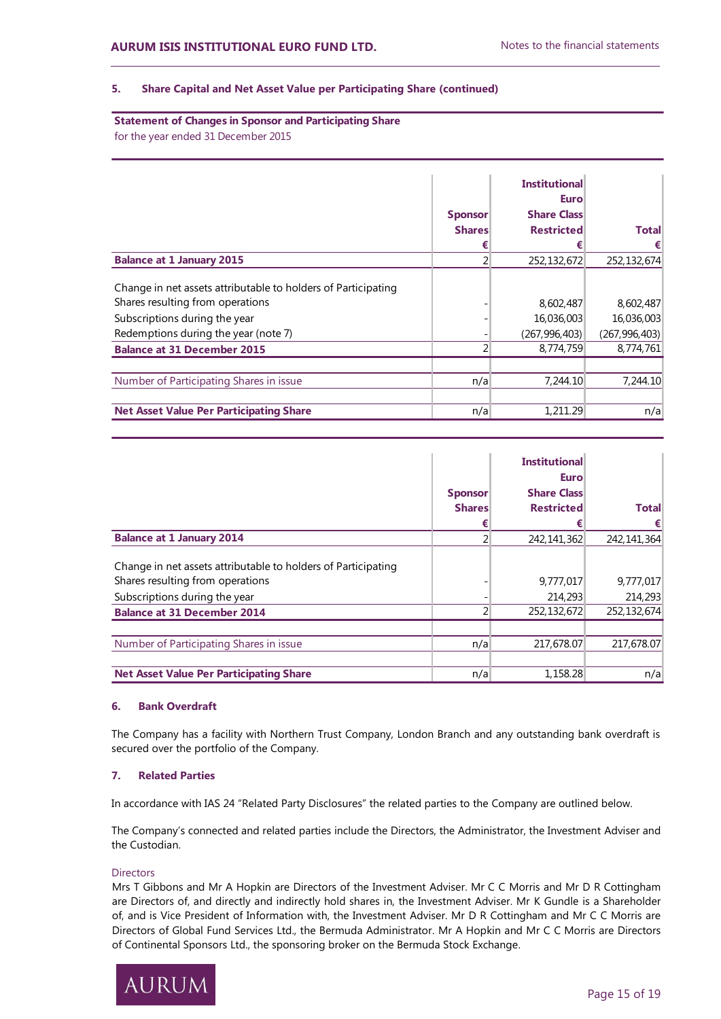# **5. Share Capital and Net Asset Value per Participating Share (continued)**

# **Statement of Changes in Sponsor and Participating Share**

for the year ended 31 December 2015

|                                                               |                | <b>Institutional</b> |                 |
|---------------------------------------------------------------|----------------|----------------------|-----------------|
|                                                               |                | <b>Euro</b>          |                 |
|                                                               | <b>Sponsor</b> | <b>Share Class</b>   |                 |
|                                                               | <b>Shares</b>  | <b>Restricted</b>    | <b>Total</b>    |
|                                                               | €              |                      | €               |
| <b>Balance at 1 January 2015</b>                              |                | 252,132,672          | 252,132,674     |
| Change in net assets attributable to holders of Participating |                |                      |                 |
| Shares resulting from operations                              |                | 8,602,487            | 8,602,487       |
| Subscriptions during the year                                 |                | 16,036,003           | 16,036,003      |
| Redemptions during the year (note 7)                          |                | (267, 996, 403)      | (267, 996, 403) |
| <b>Balance at 31 December 2015</b>                            |                | 8,774,759            | 8,774,761       |
|                                                               |                |                      |                 |
| Number of Participating Shares in issue                       | n/a            | 7,244.10             | 7,244.10        |
|                                                               |                |                      |                 |
| <b>Net Asset Value Per Participating Share</b>                | n/a            | 1,211.29             | n/a             |

|                                                               |                | <b>Institutional</b><br><b>Euro</b> |               |
|---------------------------------------------------------------|----------------|-------------------------------------|---------------|
|                                                               | <b>Sponsor</b> | <b>Share Class</b>                  |               |
|                                                               | <b>Shares</b>  | <b>Restricted</b>                   | <b>Total</b>  |
|                                                               | €              |                                     |               |
| <b>Balance at 1 January 2014</b>                              |                | 242, 141, 362                       | 242, 141, 364 |
| Change in net assets attributable to holders of Participating |                |                                     |               |
| Shares resulting from operations                              |                | 9,777,017                           | 9,777,017     |
| Subscriptions during the year                                 |                | 214,293                             | 214,293       |
| <b>Balance at 31 December 2014</b>                            | 2              | 252,132,672                         | 252, 132, 674 |
|                                                               |                |                                     |               |
| Number of Participating Shares in issue                       | n/a            | 217,678.07                          | 217,678.07    |
|                                                               |                |                                     |               |
| <b>Net Asset Value Per Participating Share</b>                | n/a            | 1,158.28                            | n/a           |

# **6. Bank Overdraft**

The Company has a facility with Northern Trust Company, London Branch and any outstanding bank overdraft is secured over the portfolio of the Company.

# **7. Related Parties**

In accordance with IAS 24 "Related Party Disclosures" the related parties to the Company are outlined below.

The Company's connected and related parties include the Directors, the Administrator, the Investment Adviser and the Custodian.

# **Directors**

Mrs T Gibbons and Mr A Hopkin are Directors of the Investment Adviser. Mr C C Morris and Mr D R Cottingham are Directors of, and directly and indirectly hold shares in, the Investment Adviser. Mr K Gundle is a Shareholder of, and is Vice President of Information with, the Investment Adviser. Mr D R Cottingham and Mr C C Morris are Directors of Global Fund Services Ltd., the Bermuda Administrator. Mr A Hopkin and Mr C C Morris are Directors of Continental Sponsors Ltd., the sponsoring broker on the Bermuda Stock Exchange.

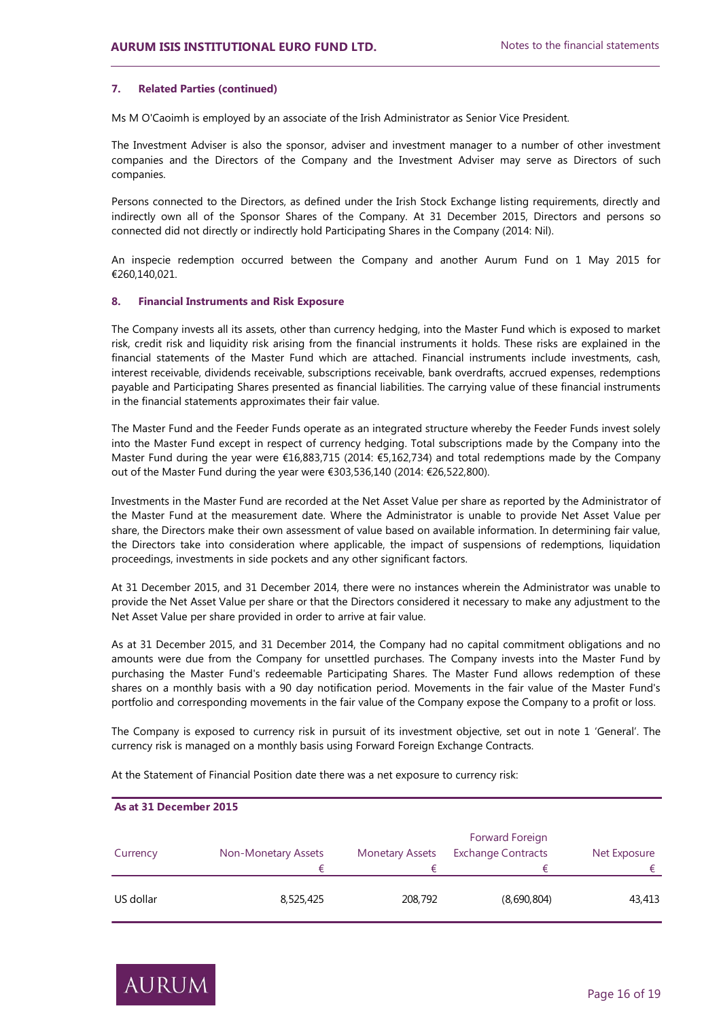# **7. Related Parties (continued)**

Ms M O'Caoimh is employed by an associate of the Irish Administrator as Senior Vice President.

The Investment Adviser is also the sponsor, adviser and investment manager to a number of other investment companies and the Directors of the Company and the Investment Adviser may serve as Directors of such companies.

Persons connected to the Directors, as defined under the Irish Stock Exchange listing requirements, directly and indirectly own all of the Sponsor Shares of the Company. At 31 December 2015, Directors and persons so connected did not directly or indirectly hold Participating Shares in the Company (2014: Nil).

An inspecie redemption occurred between the Company and another Aurum Fund on 1 May 2015 for €260,140,021.

# **8. Financial Instruments and Risk Exposure**

The Company invests all its assets, other than currency hedging, into the Master Fund which is exposed to market risk, credit risk and liquidity risk arising from the financial instruments it holds. These risks are explained in the financial statements of the Master Fund which are attached. Financial instruments include investments, cash, interest receivable, dividends receivable, subscriptions receivable, bank overdrafts, accrued expenses, redemptions payable and Participating Shares presented as financial liabilities. The carrying value of these financial instruments in the financial statements approximates their fair value.

The Master Fund and the Feeder Funds operate as an integrated structure whereby the Feeder Funds invest solely into the Master Fund except in respect of currency hedging. Total subscriptions made by the Company into the Master Fund during the year were €16,883,715 (2014: €5,162,734) and total redemptions made by the Company out of the Master Fund during the year were €303,536,140 (2014: €26,522,800).

Investments in the Master Fund are recorded at the Net Asset Value per share as reported by the Administrator of the Master Fund at the measurement date. Where the Administrator is unable to provide Net Asset Value per share, the Directors make their own assessment of value based on available information. In determining fair value, the Directors take into consideration where applicable, the impact of suspensions of redemptions, liquidation proceedings, investments in side pockets and any other significant factors.

At 31 December 2015, and 31 December 2014, there were no instances wherein the Administrator was unable to provide the Net Asset Value per share or that the Directors considered it necessary to make any adjustment to the Net Asset Value per share provided in order to arrive at fair value.

As at 31 December 2015, and 31 December 2014, the Company had no capital commitment obligations and no amounts were due from the Company for unsettled purchases. The Company invests into the Master Fund by purchasing the Master Fund's redeemable Participating Shares. The Master Fund allows redemption of these shares on a monthly basis with a 90 day notification period. Movements in the fair value of the Master Fund's portfolio and corresponding movements in the fair value of the Company expose the Company to a profit or loss.

The Company is exposed to currency risk in pursuit of its investment objective, set out in note 1 'General'. The currency risk is managed on a monthly basis using Forward Foreign Exchange Contracts.

At the Statement of Financial Position date there was a net exposure to currency risk:

| AS ULSE DELENTRE EVES |                     |                        |                                              |              |
|-----------------------|---------------------|------------------------|----------------------------------------------|--------------|
| Currency              | Non-Monetary Assets | <b>Monetary Assets</b> | Forward Foreign<br><b>Exchange Contracts</b> | Net Exposure |
|                       | €                   |                        |                                              |              |
| US dollar             | 8,525,425           | 208,792                | (8,690,804)                                  | 43,413       |



**As at 31 December 2015**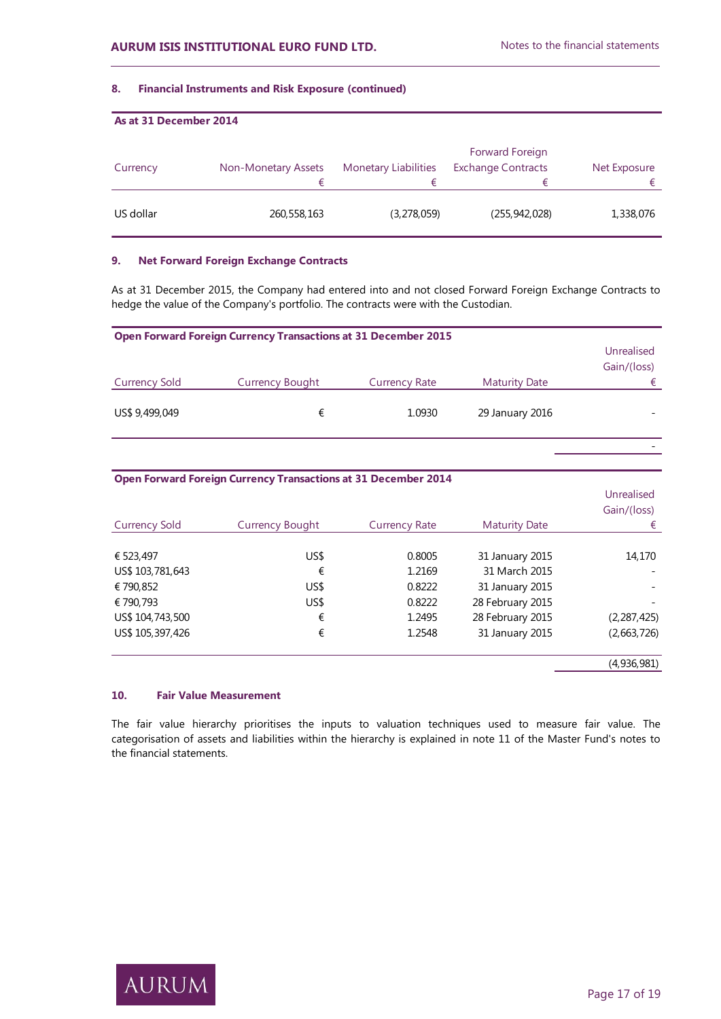- 1990 - 1990 - 1990 - 1990 - 1990 - 1990 - 1990 - 1990 - 1990 - 1990 - 1990 - 1990 - 1990 - 1990 - 1990 - 19<br>1991 - 1991 - 1991 - 1991 - 1991 - 1991 - 1991 - 1991 - 1991 - 1991 - 1991 - 1991 - 1991 - 1991 - 1991 - 1991

# **8. Financial Instruments and Risk Exposure (continued)**

| As at 31 December 2014 |                                 |                                  |                                              |              |  |
|------------------------|---------------------------------|----------------------------------|----------------------------------------------|--------------|--|
| Currency               | <b>Non-Monetary Assets</b><br>€ | <b>Monetary Liabilities</b><br>€ | Forward Foreign<br><b>Exchange Contracts</b> | Net Exposure |  |
| US dollar              | 260, 558, 163                   | (3, 278, 059)                    | (255, 942, 028)                              | 1,338,076    |  |

# **9. Net Forward Foreign Exchange Contracts**

As at 31 December 2015, the Company had entered into and not closed Forward Foreign Exchange Contracts to hedge the value of the Company's portfolio. The contracts were with the Custodian.

| <b>Open Forward Foreign Currency Transactions at 31 December 2015</b> |                 |                      |                      |             |
|-----------------------------------------------------------------------|-----------------|----------------------|----------------------|-------------|
|                                                                       |                 |                      |                      | Unrealised  |
|                                                                       |                 |                      |                      | Gain/(loss) |
| <b>Currency Sold</b>                                                  | Currency Bought | <b>Currency Rate</b> | <b>Maturity Date</b> | €           |
| US\$ 9,499,049                                                        | €               | 1.0930               | 29 January 2016      |             |

|                      | <b>Open Forward Foreign Currency Transactions at 31 December 2014</b> |                      |                      |                           |
|----------------------|-----------------------------------------------------------------------|----------------------|----------------------|---------------------------|
|                      |                                                                       |                      |                      | Unrealised<br>Gain/(loss) |
| <b>Currency Sold</b> | Currency Bought                                                       | <b>Currency Rate</b> | <b>Maturity Date</b> | €                         |
|                      |                                                                       |                      |                      |                           |
| € 523,497            | US\$                                                                  | 0.8005               | 31 January 2015      | 14,170                    |
| US\$ 103,781,643     | €                                                                     | 1.2169               | 31 March 2015        |                           |
| €790.852             | US\$                                                                  | 0.8222               | 31 January 2015      |                           |
| € 790.793            | US\$                                                                  | 0.8222               | 28 February 2015     |                           |
| US\$ 104,743,500     | €                                                                     | 1.2495               | 28 February 2015     | (2, 287, 425)             |
| US\$ 105,397,426     | €                                                                     | 1.2548               | 31 January 2015      | (2,663,726)               |
|                      |                                                                       |                      |                      | (4,936,981)               |

# **10. Fair Value Measurement**

The fair value hierarchy prioritises the inputs to valuation techniques used to measure fair value. The categorisation of assets and liabilities within the hierarchy is explained in note 11 of the Master Fund's notes to the financial statements.

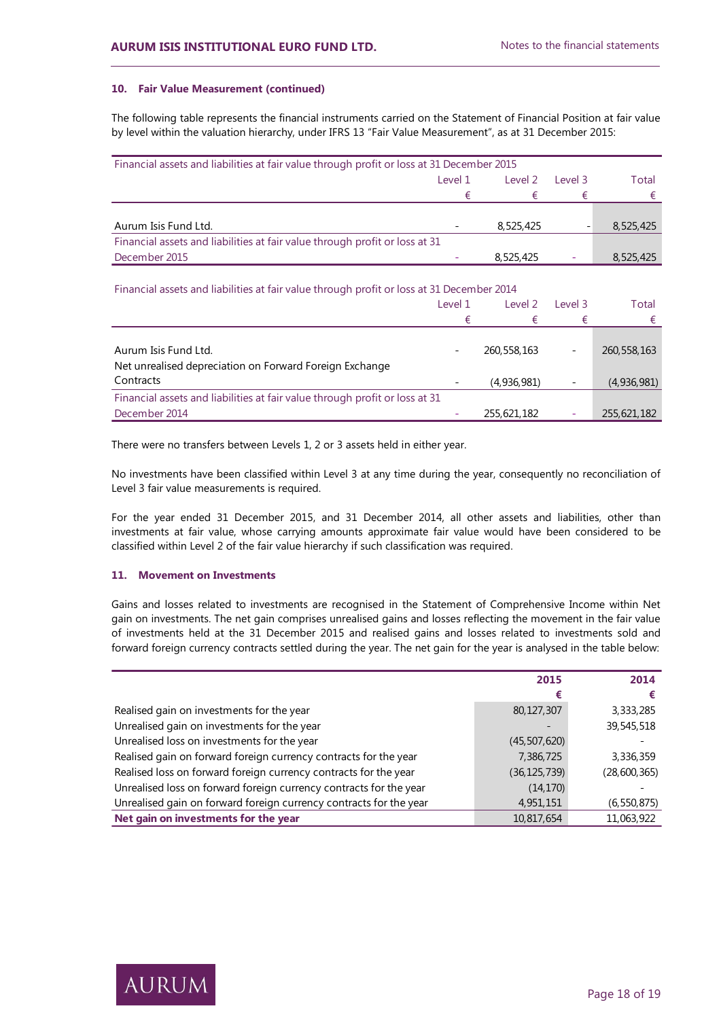# **10. Fair Value Measurement (continued)**

The following table represents the financial instruments carried on the Statement of Financial Position at fair value by level within the valuation hierarchy, under IFRS 13 "Fair Value Measurement", as at 31 December 2015:

| Financial assets and liabilities at fair value through profit or loss at 31 December 2015 |         |           |                          |           |
|-------------------------------------------------------------------------------------------|---------|-----------|--------------------------|-----------|
|                                                                                           | Level 1 | Level 2   | level 3                  | Total     |
|                                                                                           | €       |           |                          |           |
|                                                                                           |         |           |                          |           |
| Aurum Isis Fund Ltd.                                                                      |         | 8,525,425 | $\overline{\phantom{a}}$ | 8,525,425 |
| Financial assets and liabilities at fair value through profit or loss at 31               |         |           |                          |           |
| December 2015                                                                             |         | 8,525,425 |                          | 8,525,425 |

Financial assets and liabilities at fair value through profit or loss at 31 December 2014

|                                                                             | Level 1<br>€ | Level 2     | Level 3<br>€ | Total         |
|-----------------------------------------------------------------------------|--------------|-------------|--------------|---------------|
| Aurum Isis Fund Ltd.                                                        |              | 260,558,163 | -            | 260, 558, 163 |
| Net unrealised depreciation on Forward Foreign Exchange<br>Contracts        |              | (4,936,981) |              | (4,936,981)   |
| Financial assets and liabilities at fair value through profit or loss at 31 |              |             |              |               |
| December 2014                                                               |              | 255,621,182 |              | 255,621,182   |

There were no transfers between Levels 1, 2 or 3 assets held in either year.

No investments have been classified within Level 3 at any time during the year, consequently no reconciliation of Level 3 fair value measurements is required.

For the year ended 31 December 2015, and 31 December 2014, all other assets and liabilities, other than investments at fair value, whose carrying amounts approximate fair value would have been considered to be classified within Level 2 of the fair value hierarchy if such classification was required.

# **11. Movement on Investments**

Gains and losses related to investments are recognised in the Statement of Comprehensive Income within Net gain on investments. The net gain comprises unrealised gains and losses reflecting the movement in the fair value of investments held at the 31 December 2015 and realised gains and losses related to investments sold and forward foreign currency contracts settled during the year. The net gain for the year is analysed in the table below:

|                                                                    | 2015           | 2014         |
|--------------------------------------------------------------------|----------------|--------------|
|                                                                    | €              |              |
| Realised gain on investments for the year                          | 80,127,307     | 3,333,285    |
| Unrealised gain on investments for the year                        |                | 39,545,518   |
| Unrealised loss on investments for the year                        | (45, 507, 620) |              |
| Realised gain on forward foreign currency contracts for the year   | 7,386,725      | 3,336,359    |
| Realised loss on forward foreign currency contracts for the year   | (36, 125, 739) | (28,600,365) |
| Unrealised loss on forward foreign currency contracts for the year | (14, 170)      |              |
| Unrealised gain on forward foreign currency contracts for the year | 4,951,151      | (6,550,875)  |
| Net gain on investments for the year                               | 10,817,654     | 11,063,922   |